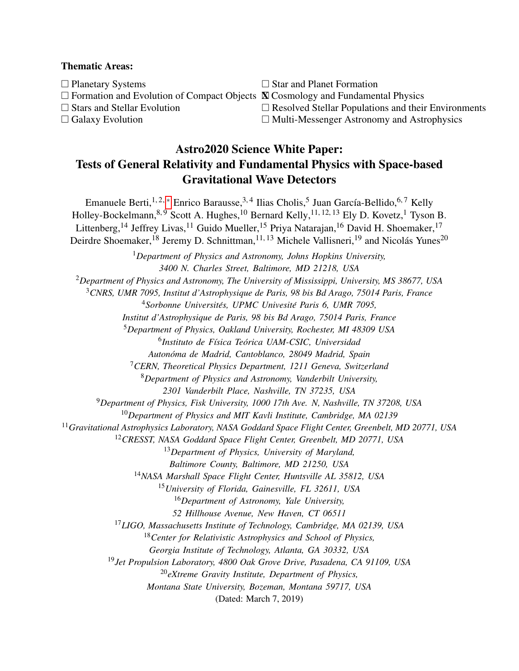## Thematic Areas:

 $\Box$  Planetary Systems  $\Box$  Star and Planet Formation  $\Box$  Formation and Evolution of Compact Objects  $\boxtimes$  Cosmology and Fundamental Physics

- $\Box$  Stars and Stellar Evolution  $\Box$  Resolved Stellar Populations and their Environments
- $\Box$  Galaxy Evolution  $\Box$  Multi-Messenger Astronomy and Astrophysics

## Astro2020 Science White Paper: Tests of General Relativity and Fundamental Physics with Space-based Gravitational Wave Detectors

Emanuele Berti,<sup>1,2,\*</sup> Enrico Barausse,<sup>3,4</sup> Ilias Cholis,<sup>5</sup> Juan García-Bellido,<sup>6,7</sup> Kelly Holley-Bockelmann,<sup>8, 9</sup> Scott A. Hughes,<sup>10</sup> Bernard Kelly,<sup>11, 12, 13</sup> Ely D. Kovetz,<sup>1</sup> Tyson B. Littenberg,<sup>14</sup> Jeffrey Livas,<sup>11</sup> Guido Mueller,<sup>15</sup> Priya Natarajan,<sup>16</sup> David H. Shoemaker,<sup>17</sup> Deirdre Shoemaker,<sup>18</sup> Jeremy D. Schnittman,<sup>11, 13</sup> Michele Vallisneri,<sup>19</sup> and Nicolás Yunes<sup>20</sup> <sup>1</sup>*Department of Physics and Astronomy, Johns Hopkins University, 3400 N. Charles Street, Baltimore, MD 21218, USA* <sup>2</sup>*Department of Physics and Astronomy, The University of Mississippi, University, MS 38677, USA* <sup>3</sup>*CNRS, UMR 7095, Institut d'Astrophysique de Paris, 98 bis Bd Arago, 75014 Paris, France* <sup>4</sup>Sorbonne Universités, UPMC Univesité Paris 6, UMR 7095, *Institut d'Astrophysique de Paris, 98 bis Bd Arago, 75014 Paris, France* <sup>5</sup>*Department of Physics, Oakland University, Rochester, MI 48309 USA* 6 *Instituto de F´ısica Teorica UAM-CSIC, Universidad ´ Autonoma de Madrid, Cantoblanco, 28049 Madrid, Spain ´* <sup>7</sup>*CERN, Theoretical Physics Department, 1211 Geneva, Switzerland* <sup>8</sup>*Department of Physics and Astronomy, Vanderbilt University, 2301 Vanderbilt Place, Nashville, TN 37235, USA* <sup>9</sup>*Department of Physics, Fisk University, 1000 17th Ave. N, Nashville, TN 37208, USA* <sup>10</sup>*Department of Physics and MIT Kavli Institute, Cambridge, MA 02139* <sup>11</sup>*Gravitational Astrophysics Laboratory, NASA Goddard Space Flight Center, Greenbelt, MD 20771, USA* <sup>12</sup>*CRESST, NASA Goddard Space Flight Center, Greenbelt, MD 20771, USA* <sup>13</sup>*Department of Physics, University of Maryland, Baltimore County, Baltimore, MD 21250, USA* <sup>14</sup>*NASA Marshall Space Flight Center, Huntsville AL 35812, USA* <sup>15</sup>*University of Florida, Gainesville, FL 32611, USA* <sup>16</sup>*Department of Astronomy, Yale University, 52 Hillhouse Avenue, New Haven, CT 06511* <sup>17</sup>*LIGO, Massachusetts Institute of Technology, Cambridge, MA 02139, USA* <sup>18</sup>*Center for Relativistic Astrophysics and School of Physics, Georgia Institute of Technology, Atlanta, GA 30332, USA* <sup>19</sup>*Jet Propulsion Laboratory, 4800 Oak Grove Drive, Pasadena, CA 91109, USA* <sup>20</sup>*eXtreme Gravity Institute, Department of Physics, Montana State University, Bozeman, Montana 59717, USA* (Dated: March 7, 2019)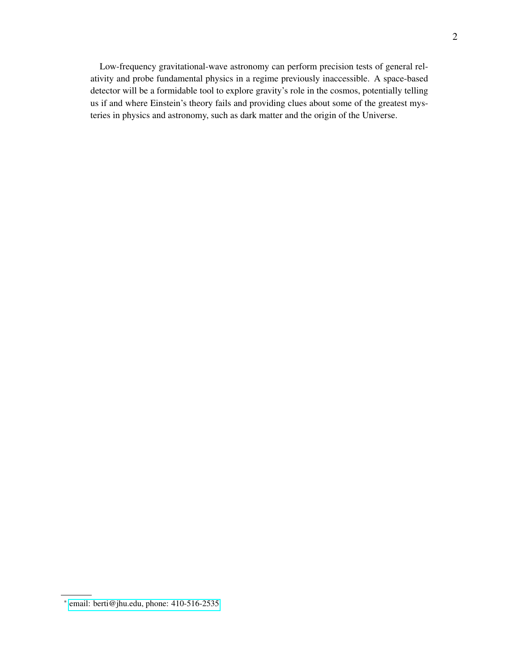Low-frequency gravitational-wave astronomy can perform precision tests of general relativity and probe fundamental physics in a regime previously inaccessible. A space-based detector will be a formidable tool to explore gravity's role in the cosmos, potentially telling us if and where Einstein's theory fails and providing clues about some of the greatest mysteries in physics and astronomy, such as dark matter and the origin of the Universe.

<span id="page-1-0"></span><sup>∗</sup> [email: berti@jhu.edu, phone: 410-516-2535](mailto:email: berti@jhu.edu, phone: 410-516-2535)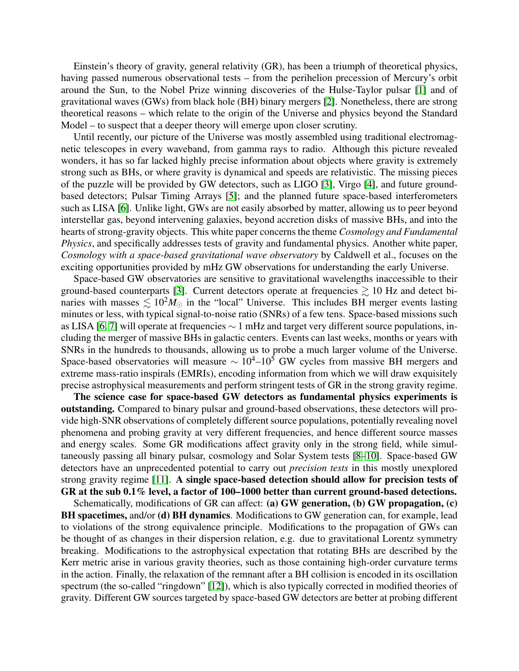Einstein's theory of gravity, general relativity (GR), has been a triumph of theoretical physics, having passed numerous observational tests – from the perihelion precession of Mercury's orbit around the Sun, to the Nobel Prize winning discoveries of the Hulse-Taylor pulsar [\[1\]](#page-7-0) and of gravitational waves (GWs) from black hole (BH) binary mergers [\[2\]](#page-7-1). Nonetheless, there are strong theoretical reasons – which relate to the origin of the Universe and physics beyond the Standard Model – to suspect that a deeper theory will emerge upon closer scrutiny.

Until recently, our picture of the Universe was mostly assembled using traditional electromagnetic telescopes in every waveband, from gamma rays to radio. Although this picture revealed wonders, it has so far lacked highly precise information about objects where gravity is extremely strong such as BHs, or where gravity is dynamical and speeds are relativistic. The missing pieces of the puzzle will be provided by GW detectors, such as LIGO [\[3\]](#page-7-2), Virgo [\[4\]](#page-7-3), and future groundbased detectors; Pulsar Timing Arrays [\[5\]](#page-7-4); and the planned future space-based interferometers such as LISA [\[6\]](#page-7-5). Unlike light, GWs are not easily absorbed by matter, allowing us to peer beyond interstellar gas, beyond intervening galaxies, beyond accretion disks of massive BHs, and into the hearts of strong-gravity objects. This white paper concerns the theme *Cosmology and Fundamental Physics*, and specifically addresses tests of gravity and fundamental physics. Another white paper, *Cosmology with a space-based gravitational wave observatory* by Caldwell et al., focuses on the exciting opportunities provided by mHz GW observations for understanding the early Universe.

Space-based GW observatories are sensitive to gravitational wavelengths inaccessible to their ground-based counterparts [\[3\]](#page-7-2). Current detectors operate at frequencies  $\gtrsim 10$  Hz and detect binaries with masses  $\lesssim 10^2 M_{\odot}$  in the "local" Universe. This includes BH merger events lasting minutes or less, with typical signal-to-noise ratio (SNRs) of a few tens. Space-based missions such as LISA [\[6,](#page-7-5) [7\]](#page-7-6) will operate at frequencies ∼ 1 mHz and target very different source populations, including the merger of massive BHs in galactic centers. Events can last weeks, months or years with SNRs in the hundreds to thousands, allowing us to probe a much larger volume of the Universe. Space-based observatories will measure  $\sim 10^4$ – $10^5$  GW cycles from massive BH mergers and extreme mass-ratio inspirals (EMRIs), encoding information from which we will draw exquisitely precise astrophysical measurements and perform stringent tests of GR in the strong gravity regime.

The science case for space-based GW detectors as fundamental physics experiments is outstanding. Compared to binary pulsar and ground-based observations, these detectors will provide high-SNR observations of completely different source populations, potentially revealing novel phenomena and probing gravity at very different frequencies, and hence different source masses and energy scales. Some GR modifications affect gravity only in the strong field, while simultaneously passing all binary pulsar, cosmology and Solar System tests [\[8](#page-7-7)[–10\]](#page-7-8). Space-based GW detectors have an unprecedented potential to carry out *precision tests* in this mostly unexplored strong gravity regime [\[11\]](#page-7-9). A single space-based detection should allow for precision tests of GR at the sub 0.1% level, a factor of 100–1000 better than current ground-based detections.

Schematically, modifications of GR can affect: (a) GW generation, (b) GW propagation, (c) BH spacetimes, and/or (d) BH dynamics. Modifications to GW generation can, for example, lead to violations of the strong equivalence principle. Modifications to the propagation of GWs can be thought of as changes in their dispersion relation, e.g. due to gravitational Lorentz symmetry breaking. Modifications to the astrophysical expectation that rotating BHs are described by the Kerr metric arise in various gravity theories, such as those containing high-order curvature terms in the action. Finally, the relaxation of the remnant after a BH collision is encoded in its oscillation spectrum (the so-called "ringdown" [\[12\]](#page-7-10)), which is also typically corrected in modified theories of gravity. Different GW sources targeted by space-based GW detectors are better at probing different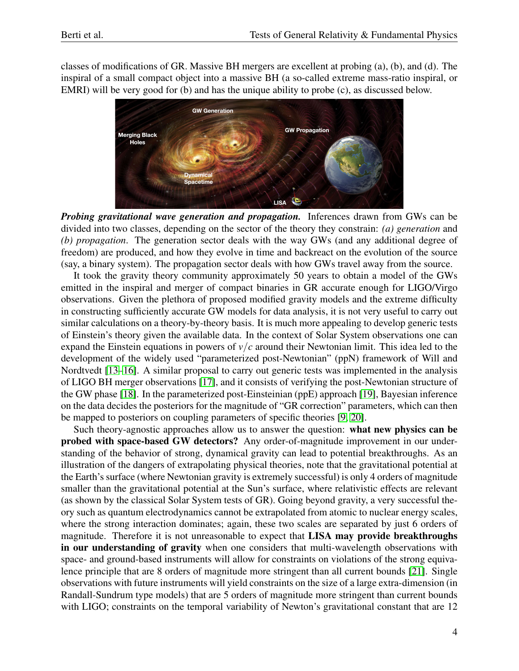classes of modifications of GR. Massive BH mergers are excellent at probing (a), (b), and (d). The inspiral of a small compact object into a massive BH (a so-called extreme mass-ratio inspiral, or EMRI) will be very good for (b) and has the unique ability to probe (c), as discussed below.



*Probing gravitational wave generation and propagation.* Inferences drawn from GWs can be divided into two classes, depending on the sector of the theory they constrain: *(a) generation* and *(b) propagation*. The generation sector deals with the way GWs (and any additional degree of freedom) are produced, and how they evolve in time and backreact on the evolution of the source (say, a binary system). The propagation sector deals with how GWs travel away from the source.

It took the gravity theory community approximately 50 years to obtain a model of the GWs emitted in the inspiral and merger of compact binaries in GR accurate enough for LIGO/Virgo observations. Given the plethora of proposed modified gravity models and the extreme difficulty in constructing sufficiently accurate GW models for data analysis, it is not very useful to carry out similar calculations on a theory-by-theory basis. It is much more appealing to develop generic tests of Einstein's theory given the available data. In the context of Solar System observations one can expand the Einstein equations in powers of  $v/c$  around their Newtonian limit. This idea led to the development of the widely used "parameterized post-Newtonian" (ppN) framework of Will and Nordtvedt [\[13](#page-7-11)[–16\]](#page-7-12). A similar proposal to carry out generic tests was implemented in the analysis of LIGO BH merger observations [\[17\]](#page-7-13), and it consists of verifying the post-Newtonian structure of the GW phase [\[18\]](#page-7-14). In the parameterized post-Einsteinian (ppE) approach [\[19\]](#page-7-15), Bayesian inference on the data decides the posteriors for the magnitude of "GR correction" parameters, which can then be mapped to posteriors on coupling parameters of specific theories [\[9,](#page-7-16) [20\]](#page-7-17).

Such theory-agnostic approaches allow us to answer the question: what new physics can be probed with space-based GW detectors? Any order-of-magnitude improvement in our understanding of the behavior of strong, dynamical gravity can lead to potential breakthroughs. As an illustration of the dangers of extrapolating physical theories, note that the gravitational potential at the Earth's surface (where Newtonian gravity is extremely successful) is only 4 orders of magnitude smaller than the gravitational potential at the Sun's surface, where relativistic effects are relevant (as shown by the classical Solar System tests of GR). Going beyond gravity, a very successful theory such as quantum electrodynamics cannot be extrapolated from atomic to nuclear energy scales, where the strong interaction dominates; again, these two scales are separated by just 6 orders of magnitude. Therefore it is not unreasonable to expect that LISA may provide breakthroughs in our understanding of gravity when one considers that multi-wavelength observations with space- and ground-based instruments will allow for constraints on violations of the strong equivalence principle that are 8 orders of magnitude more stringent than all current bounds [\[21\]](#page-7-18). Single observations with future instruments will yield constraints on the size of a large extra-dimension (in Randall-Sundrum type models) that are 5 orders of magnitude more stringent than current bounds with LIGO; constraints on the temporal variability of Newton's gravitational constant that are 12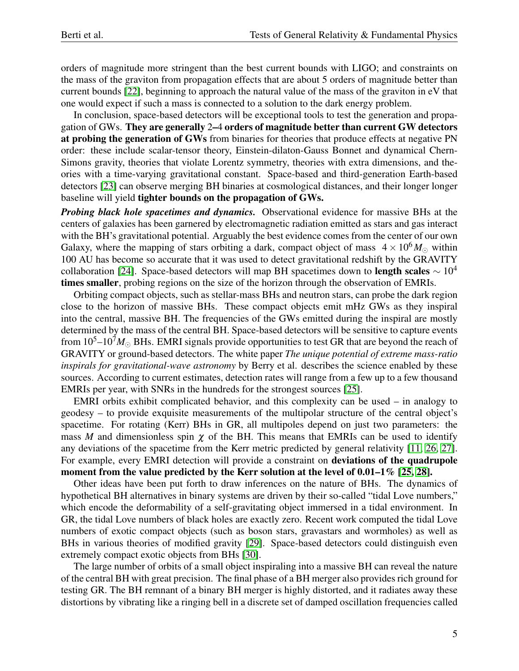orders of magnitude more stringent than the best current bounds with LIGO; and constraints on the mass of the graviton from propagation effects that are about 5 orders of magnitude better than current bounds [\[22\]](#page-7-19), beginning to approach the natural value of the mass of the graviton in eV that one would expect if such a mass is connected to a solution to the dark energy problem.

In conclusion, space-based detectors will be exceptional tools to test the generation and propagation of GWs. They are generally 2–4 orders of magnitude better than current GW detectors at probing the generation of GWs from binaries for theories that produce effects at negative PN order: these include scalar-tensor theory, Einstein-dilaton-Gauss Bonnet and dynamical Chern-Simons gravity, theories that violate Lorentz symmetry, theories with extra dimensions, and theories with a time-varying gravitational constant. Space-based and third-generation Earth-based detectors [\[23\]](#page-7-20) can observe merging BH binaries at cosmological distances, and their longer longer baseline will yield tighter bounds on the propagation of GWs.

*Probing black hole spacetimes and dynamics.* Observational evidence for massive BHs at the centers of galaxies has been garnered by electromagnetic radiation emitted as stars and gas interact with the BH's gravitational potential. Arguably the best evidence comes from the center of our own Galaxy, where the mapping of stars orbiting a dark, compact object of mass  $4 \times 10^6 M_{\odot}$  within 100 AU has become so accurate that it was used to detect gravitational redshift by the GRAVITY collaboration [\[24\]](#page-7-21). Space-based detectors will map BH spacetimes down to **length scales**  $\sim 10^4$ times smaller, probing regions on the size of the horizon through the observation of EMRIs.

Orbiting compact objects, such as stellar-mass BHs and neutron stars, can probe the dark region close to the horizon of massive BHs. These compact objects emit mHz GWs as they inspiral into the central, massive BH. The frequencies of the GWs emitted during the inspiral are mostly determined by the mass of the central BH. Space-based detectors will be sensitive to capture events from  $10^5 - 10^7 M_{\odot}$  BHs. EMRI signals provide opportunities to test GR that are beyond the reach of GRAVITY or ground-based detectors. The white paper *The unique potential of extreme mass-ratio inspirals for gravitational-wave astronomy* by Berry et al. describes the science enabled by these sources. According to current estimates, detection rates will range from a few up to a few thousand EMRIs per year, with SNRs in the hundreds for the strongest sources [\[25\]](#page-7-22).

EMRI orbits exhibit complicated behavior, and this complexity can be used – in analogy to geodesy – to provide exquisite measurements of the multipolar structure of the central object's spacetime. For rotating (Kerr) BHs in GR, all multipoles depend on just two parameters: the mass *M* and dimensionless spin  $\chi$  of the BH. This means that EMRIs can be used to identify any deviations of the spacetime from the Kerr metric predicted by general relativity [\[11,](#page-7-9) [26,](#page-7-23) [27\]](#page-7-24). For example, every EMRI detection will provide a constraint on deviations of the quadrupole moment from the value predicted by the Kerr solution at the level of 0.01–1% [\[25,](#page-7-22) [28\]](#page-7-25).

Other ideas have been put forth to draw inferences on the nature of BHs. The dynamics of hypothetical BH alternatives in binary systems are driven by their so-called "tidal Love numbers," which encode the deformability of a self-gravitating object immersed in a tidal environment. In GR, the tidal Love numbers of black holes are exactly zero. Recent work computed the tidal Love numbers of exotic compact objects (such as boson stars, gravastars and wormholes) as well as BHs in various theories of modified gravity [\[29\]](#page-7-26). Space-based detectors could distinguish even extremely compact exotic objects from BHs [\[30\]](#page-7-27).

The large number of orbits of a small object inspiraling into a massive BH can reveal the nature of the central BH with great precision. The final phase of a BH merger also provides rich ground for testing GR. The BH remnant of a binary BH merger is highly distorted, and it radiates away these distortions by vibrating like a ringing bell in a discrete set of damped oscillation frequencies called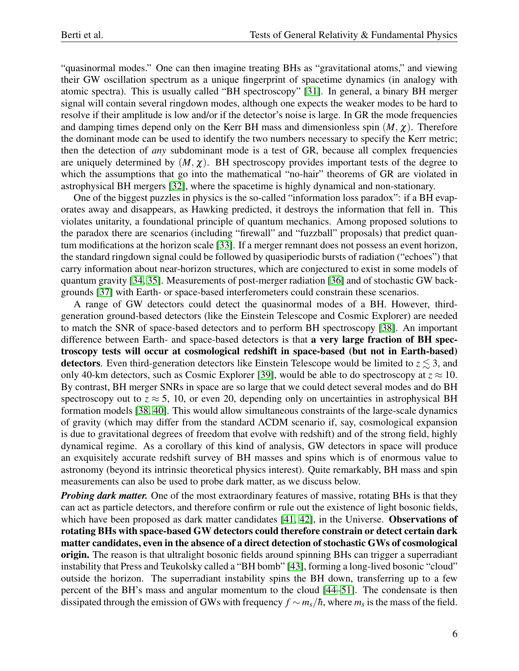"quasinormal modes." One can then imagine treating BHs as "gravitational atoms," and viewing their GW oscillation spectrum as a unique fingerprint of spacetime dynamics (in analogy with atomic spectra). This is usually called "BH spectroscopy" [\[31\]](#page-7-28). In general, a binary BH merger signal will contain several ringdown modes, although one expects the weaker modes to be hard to resolve if their amplitude is low and/or if the detector's noise is large. In GR the mode frequencies and damping times depend only on the Kerr BH mass and dimensionless spin  $(M, \chi)$ . Therefore the dominant mode can be used to identify the two numbers necessary to specify the Kerr metric; then the detection of *any* subdominant mode is a test of GR, because all complex frequencies are uniquely determined by  $(M, \chi)$ . BH spectroscopy provides important tests of the degree to which the assumptions that go into the mathematical "no-hair" theorems of GR are violated in astrophysical BH mergers [\[32\]](#page-7-29), where the spacetime is highly dynamical and non-stationary.

One of the biggest puzzles in physics is the so-called "information loss paradox": if a BH evaporates away and disappears, as Hawking predicted, it destroys the information that fell in. This violates unitarity, a foundational principle of quantum mechanics. Among proposed solutions to the paradox there are scenarios (including "firewall" and "fuzzball" proposals) that predict quantum modifications at the horizon scale [\[33\]](#page-7-30). If a merger remnant does not possess an event horizon, the standard ringdown signal could be followed by quasiperiodic bursts of radiation ("echoes") that carry information about near-horizon structures, which are conjectured to exist in some models of quantum gravity [\[34,](#page-7-31) [35\]](#page-7-32). Measurements of post-merger radiation [\[36\]](#page-7-33) and of stochastic GW backgrounds [\[37\]](#page-7-34) with Earth- or space-based interferometers could constrain these scenarios.

A range of GW detectors could detect the quasinormal modes of a BH. However, thirdgeneration ground-based detectors (like the Einstein Telescope and Cosmic Explorer) are needed to match the SNR of space-based detectors and to perform BH spectroscopy [\[38\]](#page-8-0). An important difference between Earth- and space-based detectors is that a very large fraction of BH spectroscopy tests will occur at cosmological redshift in space-based (but not in Earth-based) detectors. Even third-generation detectors like Einstein Telescope would be limited to  $z \leq 3$ , and only 40-km detectors, such as Cosmic Explorer [\[39\]](#page-8-1), would be able to do spectroscopy at  $z \approx 10$ . By contrast, BH merger SNRs in space are so large that we could detect several modes and do BH spectroscopy out to  $z \approx 5$ , 10, or even 20, depending only on uncertainties in astrophysical BH formation models [\[38,](#page-8-0) [40\]](#page-8-2). This would allow simultaneous constraints of the large-scale dynamics of gravity (which may differ from the standard ΛCDM scenario if, say, cosmological expansion is due to gravitational degrees of freedom that evolve with redshift) and of the strong field, highly dynamical regime. As a corollary of this kind of analysis, GW detectors in space will produce an exquisitely accurate redshift survey of BH masses and spins which is of enormous value to astronomy (beyond its intrinsic theoretical physics interest). Quite remarkably, BH mass and spin measurements can also be used to probe dark matter, as we discuss below.

*Probing dark matter.* One of the most extraordinary features of massive, rotating BHs is that they can act as particle detectors, and therefore confirm or rule out the existence of light bosonic fields, which have been proposed as dark matter candidates [\[41,](#page-8-3) [42\]](#page-8-4), in the Universe. **Observations of** rotating BHs with space-based GW detectors could therefore constrain or detect certain dark matter candidates, even in the absence of a direct detection of stochastic GWs of cosmological origin. The reason is that ultralight bosonic fields around spinning BHs can trigger a superradiant instability that Press and Teukolsky called a "BH bomb" [\[43\]](#page-8-5), forming a long-lived bosonic "cloud" outside the horizon. The superradiant instability spins the BH down, transferring up to a few percent of the BH's mass and angular momentum to the cloud [\[44–](#page-8-6)[51\]](#page-8-7). The condensate is then dissipated through the emission of GWs with frequency  $f \sim m_s/\hbar$ , where  $m_s$  is the mass of the field.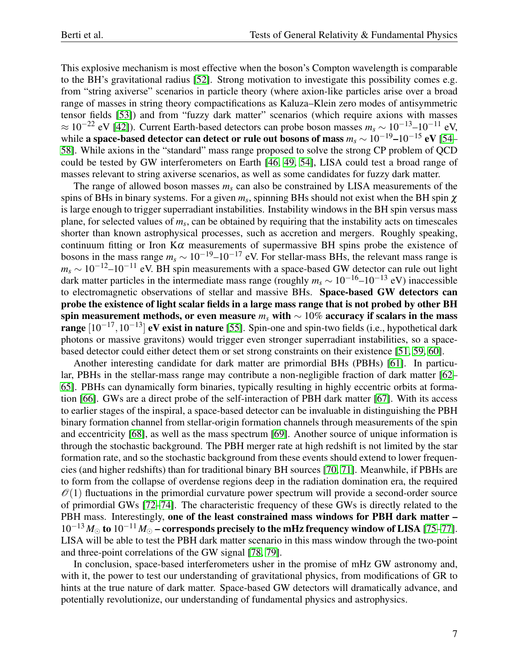This explosive mechanism is most effective when the boson's Compton wavelength is comparable to the BH's gravitational radius [\[52\]](#page-8-8). Strong motivation to investigate this possibility comes e.g. from "string axiverse" scenarios in particle theory (where axion-like particles arise over a broad range of masses in string theory compactifications as Kaluza–Klein zero modes of antisymmetric tensor fields [\[53\]](#page-8-9)) and from "fuzzy dark matter" scenarios (which require axions with masses  $\approx 10^{-22}$  eV [\[42\]](#page-8-4)). Current Earth-based detectors can probe boson masses  $m_s \sim 10^{-13}$ – $10^{-11}$  eV, while a space-based detector can detect or rule out bosons of mass  $m_s \sim 10^{-19} - 10^{-15}$  eV [\[54–](#page-8-10) [58\]](#page-8-11). While axions in the "standard" mass range proposed to solve the strong CP problem of QCD could be tested by GW interferometers on Earth [\[46,](#page-8-12) [49,](#page-8-13) [54\]](#page-8-10), LISA could test a broad range of masses relevant to string axiverse scenarios, as well as some candidates for fuzzy dark matter.

The range of allowed boson masses *m<sup>s</sup>* can also be constrained by LISA measurements of the spins of BHs in binary systems. For a given  $m_s$ , spinning BHs should not exist when the BH spin  $\chi$ is large enough to trigger superradiant instabilities. Instability windows in the BH spin versus mass plane, for selected values of *m<sup>s</sup>* , can be obtained by requiring that the instability acts on timescales shorter than known astrophysical processes, such as accretion and mergers. Roughly speaking, continuum fitting or Iron K $\alpha$  measurements of supermassive BH spins probe the existence of bosons in the mass range  $m_s \sim 10^{-19} - 10^{-17}$  eV. For stellar-mass BHs, the relevant mass range is  $m_s \sim 10^{-12}$ –10<sup>-11</sup> eV. BH spin measurements with a space-based GW detector can rule out light dark matter particles in the intermediate mass range (roughly  $m_s \sim 10^{-16}$ – $10^{-13}$  eV) inaccessible to electromagnetic observations of stellar and massive BHs. Space-based GW detectors can probe the existence of light scalar fields in a large mass range that is not probed by other BH spin measurement methods, or even measure *m<sup>s</sup>* with ∼ 10% accuracy if scalars in the mass range  $[10^{-17}, 10^{-13}]$  eV exist in nature [\[55\]](#page-8-14). Spin-one and spin-two fields (i.e., hypothetical dark photons or massive gravitons) would trigger even stronger superradiant instabilities, so a spacebased detector could either detect them or set strong constraints on their existence [\[51,](#page-8-7) [59,](#page-8-15) [60\]](#page-8-16).

Another interesting candidate for dark matter are primordial BHs (PBHs) [\[61\]](#page-8-17). In particular, PBHs in the stellar-mass range may contribute a non-negligible fraction of dark matter [\[62–](#page-8-18) [65\]](#page-8-19). PBHs can dynamically form binaries, typically resulting in highly eccentric orbits at formation [\[66\]](#page-8-20). GWs are a direct probe of the self-interaction of PBH dark matter [\[67\]](#page-8-21). With its access to earlier stages of the inspiral, a space-based detector can be invaluable in distinguishing the PBH binary formation channel from stellar-origin formation channels through measurements of the spin and eccentricity [\[68\]](#page-8-22), as well as the mass spectrum [\[69\]](#page-8-23). Another source of unique information is through the stochastic background. The PBH merger rate at high redshift is not limited by the star formation rate, and so the stochastic background from these events should extend to lower frequencies (and higher redshifts) than for traditional binary BH sources [\[70,](#page-8-24) [71\]](#page-9-0). Meanwhile, if PBHs are to form from the collapse of overdense regions deep in the radiation domination era, the required  $\mathcal{O}(1)$  fluctuations in the primordial curvature power spectrum will provide a second-order source of primordial GWs [\[72–](#page-9-1)[74\]](#page-9-2). The characteristic frequency of these GWs is directly related to the PBH mass. Interestingly, one of the least constrained mass windows for PBH dark matter - $10^{-13} M_{\odot}$  to  $10^{-11} M_{\odot}$  – corresponds precisely to the mHz frequency window of LISA [\[75](#page-9-3)[–77\]](#page-9-4). LISA will be able to test the PBH dark matter scenario in this mass window through the two-point and three-point correlations of the GW signal [\[78,](#page-9-5) [79\]](#page-9-6).

In conclusion, space-based interferometers usher in the promise of mHz GW astronomy and, with it, the power to test our understanding of gravitational physics, from modifications of GR to hints at the true nature of dark matter. Space-based GW detectors will dramatically advance, and potentially revolutionize, our understanding of fundamental physics and astrophysics.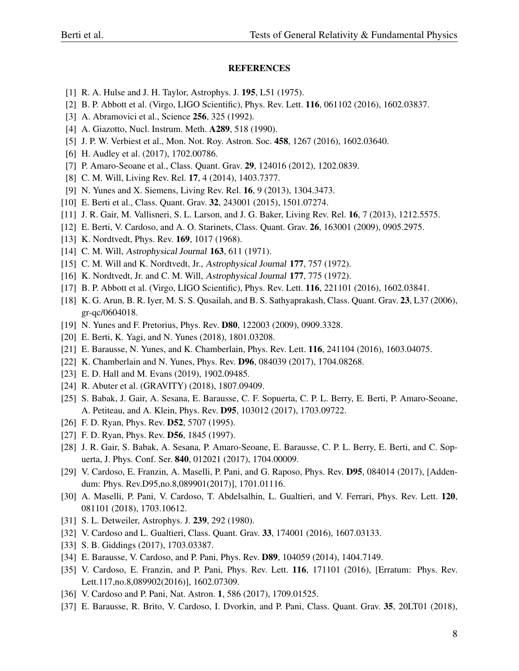## REFERENCES

- <span id="page-7-0"></span>[1] R. A. Hulse and J. H. Taylor, Astrophys. J. 195, L51 (1975).
- <span id="page-7-1"></span>[2] B. P. Abbott et al. (Virgo, LIGO Scientific), Phys. Rev. Lett. 116, 061102 (2016), 1602.03837.
- <span id="page-7-2"></span>[3] A. Abramovici et al., Science **256**, 325 (1992).
- <span id="page-7-3"></span>[4] A. Giazotto, Nucl. Instrum. Meth. A289, 518 (1990).
- <span id="page-7-4"></span>[5] J. P. W. Verbiest et al., Mon. Not. Roy. Astron. Soc. 458, 1267 (2016), 1602.03640.
- <span id="page-7-5"></span>[6] H. Audley et al. (2017), 1702.00786.
- <span id="page-7-6"></span>[7] P. Amaro-Seoane et al., Class. Quant. Grav. 29, 124016 (2012), 1202.0839.
- <span id="page-7-7"></span>[8] C. M. Will, Living Rev. Rel. 17, 4 (2014), 1403.7377.
- <span id="page-7-16"></span>[9] N. Yunes and X. Siemens, Living Rev. Rel. 16, 9 (2013), 1304.3473.
- <span id="page-7-8"></span>[10] E. Berti et al., Class. Quant. Grav. 32, 243001 (2015), 1501.07274.
- <span id="page-7-9"></span>[11] J. R. Gair, M. Vallisneri, S. L. Larson, and J. G. Baker, Living Rev. Rel. 16, 7 (2013), 1212.5575.
- <span id="page-7-10"></span>[12] E. Berti, V. Cardoso, and A. O. Starinets, Class. Quant. Grav. 26, 163001 (2009), 0905.2975.
- <span id="page-7-11"></span>[13] K. Nordtvedt, Phys. Rev. **169**, 1017 (1968).
- [14] C. M. Will, Astrophysical Journal 163, 611 (1971).
- [15] C. M. Will and K. Nordtvedt, Jr., Astrophysical Journal 177, 757 (1972).
- <span id="page-7-12"></span>[16] K. Nordtvedt, Jr. and C. M. Will, Astrophysical Journal 177, 775 (1972).
- <span id="page-7-13"></span>[17] B. P. Abbott et al. (Virgo, LIGO Scientific), Phys. Rev. Lett. 116, 221101 (2016), 1602.03841.
- <span id="page-7-14"></span>[18] K. G. Arun, B. R. Iyer, M. S. S. Qusailah, and B. S. Sathyaprakash, Class. Quant. Grav. 23, L37 (2006), gr-qc/0604018.
- <span id="page-7-15"></span>[19] N. Yunes and F. Pretorius, Phys. Rev. **D80**, 122003 (2009), 0909.3328.
- <span id="page-7-17"></span>[20] E. Berti, K. Yagi, and N. Yunes (2018), 1801.03208.
- <span id="page-7-18"></span>[21] E. Barausse, N. Yunes, and K. Chamberlain, Phys. Rev. Lett. **116**, 241104 (2016), 1603.04075.
- <span id="page-7-19"></span>[22] K. Chamberlain and N. Yunes, Phys. Rev. **D96**, 084039 (2017), 1704.08268.
- <span id="page-7-20"></span>[23] E. D. Hall and M. Evans (2019), 1902.09485.
- <span id="page-7-21"></span>[24] R. Abuter et al. (GRAVITY) (2018), 1807.09409.
- <span id="page-7-22"></span>[25] S. Babak, J. Gair, A. Sesana, E. Barausse, C. F. Sopuerta, C. P. L. Berry, E. Berti, P. Amaro-Seoane, A. Petiteau, and A. Klein, Phys. Rev. D95, 103012 (2017), 1703.09722.
- <span id="page-7-23"></span>[26] F. D. Ryan, Phys. Rev. **D52**, 5707 (1995).
- <span id="page-7-24"></span>[27] F. D. Ryan, Phys. Rev. **D56**, 1845 (1997).
- <span id="page-7-25"></span>[28] J. R. Gair, S. Babak, A. Sesana, P. Amaro-Seoane, E. Barausse, C. P. L. Berry, E. Berti, and C. Sopuerta, J. Phys. Conf. Ser. 840, 012021 (2017), 1704.00009.
- <span id="page-7-26"></span>[29] V. Cardoso, E. Franzin, A. Maselli, P. Pani, and G. Raposo, Phys. Rev. D95, 084014 (2017), [Addendum: Phys. Rev.D95,no.8,089901(2017)], 1701.01116.
- <span id="page-7-27"></span>[30] A. Maselli, P. Pani, V. Cardoso, T. Abdelsalhin, L. Gualtieri, and V. Ferrari, Phys. Rev. Lett. 120, 081101 (2018), 1703.10612.
- <span id="page-7-28"></span>[31] S. L. Detweiler, Astrophys. J. 239, 292 (1980).
- <span id="page-7-29"></span>[32] V. Cardoso and L. Gualtieri, Class. Quant. Grav. 33, 174001 (2016), 1607.03133.
- <span id="page-7-30"></span>[33] S. B. Giddings (2017), 1703.03387.
- <span id="page-7-31"></span>[34] E. Barausse, V. Cardoso, and P. Pani, Phys. Rev. D89, 104059 (2014), 1404.7149.
- <span id="page-7-32"></span>[35] V. Cardoso, E. Franzin, and P. Pani, Phys. Rev. Lett. **116**, 171101 (2016), [Erratum: Phys. Rev. Lett.117,no.8,089902(2016)], 1602.07309.
- <span id="page-7-33"></span>[36] V. Cardoso and P. Pani, Nat. Astron. 1, 586 (2017), 1709.01525.
- <span id="page-7-34"></span>[37] E. Barausse, R. Brito, V. Cardoso, I. Dvorkin, and P. Pani, Class. Quant. Grav. 35, 20LT01 (2018),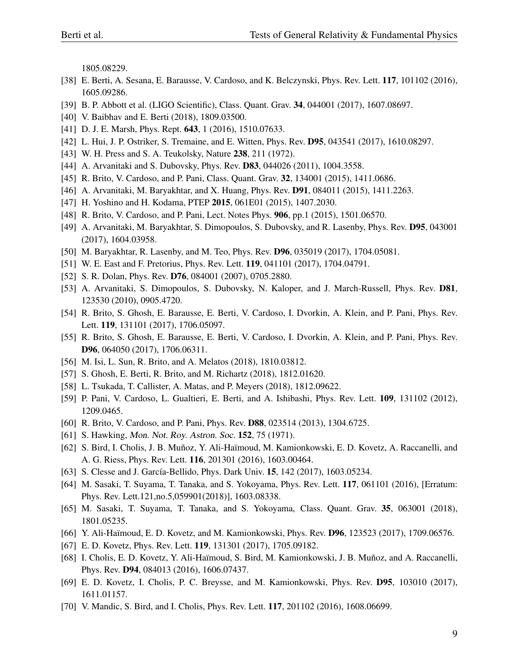1805.08229.

- <span id="page-8-0"></span>[38] E. Berti, A. Sesana, E. Barausse, V. Cardoso, and K. Belczynski, Phys. Rev. Lett. 117, 101102 (2016), 1605.09286.
- <span id="page-8-1"></span>[39] B. P. Abbott et al. (LIGO Scientific), Class. Quant. Grav. 34, 044001 (2017), 1607.08697.
- <span id="page-8-2"></span>[40] V. Baibhav and E. Berti (2018), 1809.03500.
- <span id="page-8-3"></span>[41] D. J. E. Marsh, Phys. Rept. 643, 1 (2016), 1510.07633.
- <span id="page-8-4"></span>[42] L. Hui, J. P. Ostriker, S. Tremaine, and E. Witten, Phys. Rev. D95, 043541 (2017), 1610.08297.
- <span id="page-8-5"></span>[43] W. H. Press and S. A. Teukolsky, Nature 238, 211 (1972).
- <span id="page-8-6"></span>[44] A. Arvanitaki and S. Dubovsky, Phys. Rev. **D83**, 044026 (2011), 1004.3558.
- [45] R. Brito, V. Cardoso, and P. Pani, Class. Quant. Grav. 32, 134001 (2015), 1411.0686.
- <span id="page-8-12"></span>[46] A. Arvanitaki, M. Baryakhtar, and X. Huang, Phys. Rev. **D91**, 084011 (2015), 1411.2263.
- [47] H. Yoshino and H. Kodama, PTEP 2015, 061E01 (2015), 1407.2030.
- [48] R. Brito, V. Cardoso, and P. Pani, Lect. Notes Phys. 906, pp.1 (2015), 1501.06570.
- <span id="page-8-13"></span>[49] A. Arvanitaki, M. Baryakhtar, S. Dimopoulos, S. Dubovsky, and R. Lasenby, Phys. Rev. D95, 043001 (2017), 1604.03958.
- [50] M. Baryakhtar, R. Lasenby, and M. Teo, Phys. Rev. D96, 035019 (2017), 1704.05081.
- <span id="page-8-7"></span>[51] W. E. East and F. Pretorius, Phys. Rev. Lett. 119, 041101 (2017), 1704.04791.
- <span id="page-8-8"></span>[52] S. R. Dolan, Phys. Rev. **D76**, 084001 (2007), 0705.2880.
- <span id="page-8-9"></span>[53] A. Arvanitaki, S. Dimopoulos, S. Dubovsky, N. Kaloper, and J. March-Russell, Phys. Rev. D81, 123530 (2010), 0905.4720.
- <span id="page-8-10"></span>[54] R. Brito, S. Ghosh, E. Barausse, E. Berti, V. Cardoso, I. Dvorkin, A. Klein, and P. Pani, Phys. Rev. Lett. 119, 131101 (2017), 1706.05097.
- <span id="page-8-14"></span>[55] R. Brito, S. Ghosh, E. Barausse, E. Berti, V. Cardoso, I. Dvorkin, A. Klein, and P. Pani, Phys. Rev. D96, 064050 (2017), 1706.06311.
- [56] M. Isi, L. Sun, R. Brito, and A. Melatos (2018), 1810.03812.
- [57] S. Ghosh, E. Berti, R. Brito, and M. Richartz (2018), 1812.01620.
- <span id="page-8-11"></span>[58] L. Tsukada, T. Callister, A. Matas, and P. Meyers (2018), 1812.09622.
- <span id="page-8-15"></span>[59] P. Pani, V. Cardoso, L. Gualtieri, E. Berti, and A. Ishibashi, Phys. Rev. Lett. 109, 131102 (2012), 1209.0465.
- <span id="page-8-16"></span>[60] R. Brito, V. Cardoso, and P. Pani, Phys. Rev. D88, 023514 (2013), 1304.6725.
- <span id="page-8-17"></span>[61] S. Hawking, *Mon. Not. Roy. Astron. Soc.* **152**, 75 (1971).
- <span id="page-8-18"></span>[62] S. Bird, I. Cholis, J. B. Muñoz, Y. Ali-Haïmoud, M. Kamionkowski, E. D. Kovetz, A. Raccanelli, and A. G. Riess, Phys. Rev. Lett. 116, 201301 (2016), 1603.00464.
- [63] S. Clesse and J. García-Bellido, Phys. Dark Univ. 15, 142 (2017), 1603.05234.
- [64] M. Sasaki, T. Suyama, T. Tanaka, and S. Yokoyama, Phys. Rev. Lett. 117, 061101 (2016), [Erratum: Phys. Rev. Lett.121,no.5,059901(2018)], 1603.08338.
- <span id="page-8-19"></span>[65] M. Sasaki, T. Suyama, T. Tanaka, and S. Yokoyama, Class. Quant. Grav. 35, 063001 (2018), 1801.05235.
- <span id="page-8-20"></span>[66] Y. Ali-Haïmoud, E. D. Kovetz, and M. Kamionkowski, Phys. Rev. **D96**, 123523 (2017), 1709.06576.
- <span id="page-8-21"></span>[67] E. D. Kovetz, Phys. Rev. Lett. 119, 131301 (2017), 1705.09182.
- <span id="page-8-22"></span>[68] I. Cholis, E. D. Kovetz, Y. Ali-Haïmoud, S. Bird, M. Kamionkowski, J. B. Muñoz, and A. Raccanelli, Phys. Rev. D94, 084013 (2016), 1606.07437.
- <span id="page-8-23"></span>[69] E. D. Kovetz, I. Cholis, P. C. Breysse, and M. Kamionkowski, Phys. Rev. D95, 103010 (2017), 1611.01157.
- <span id="page-8-24"></span>[70] V. Mandic, S. Bird, and I. Cholis, Phys. Rev. Lett. 117, 201102 (2016), 1608.06699.